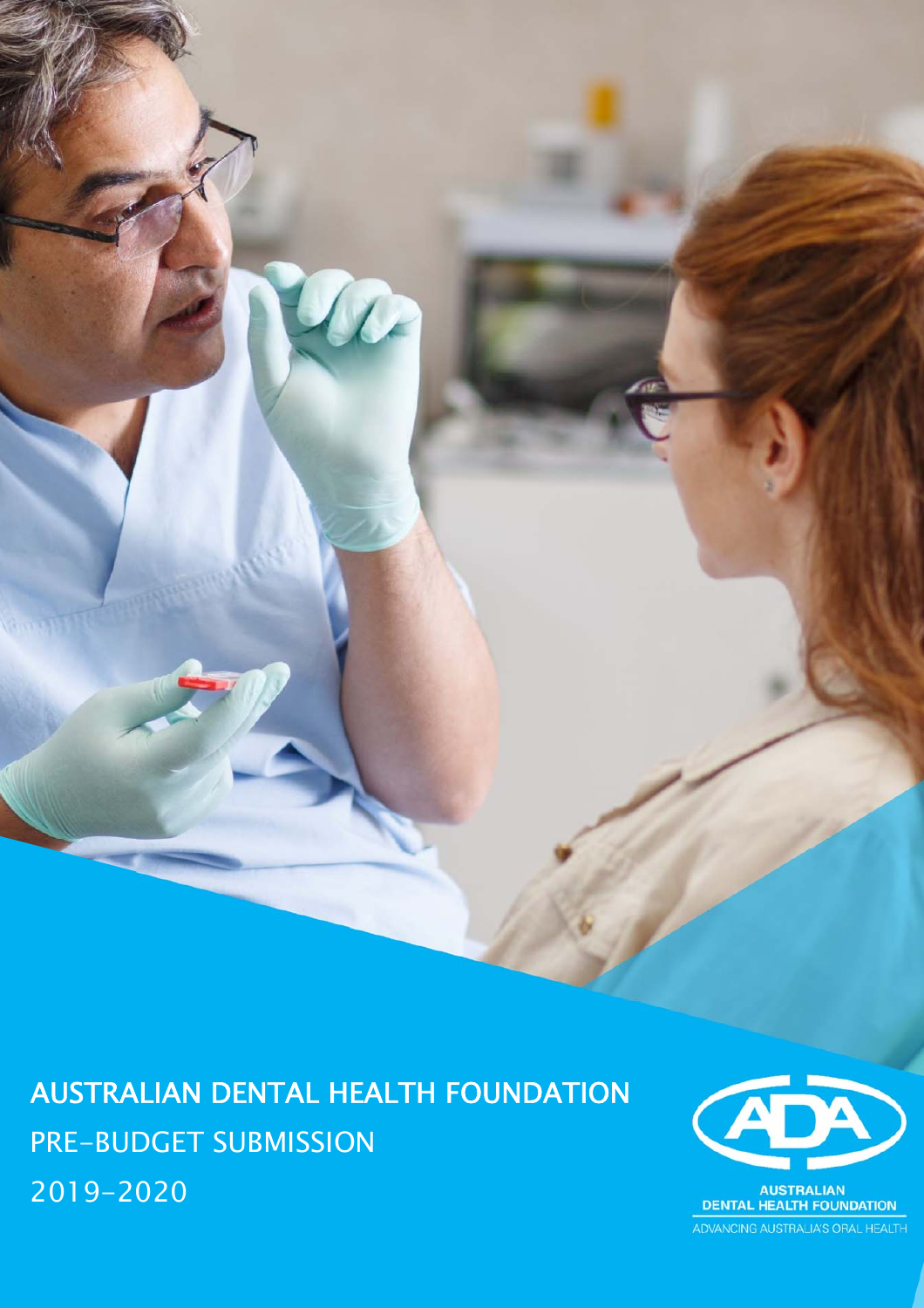AUSTRALIAN DENTAL HEALTH FOUNDATION PRE-BUDGET SUBMISSION 2019-2020

 $\alpha$ 



ADVANCING AUSTRALIA'S ORAL HEALTH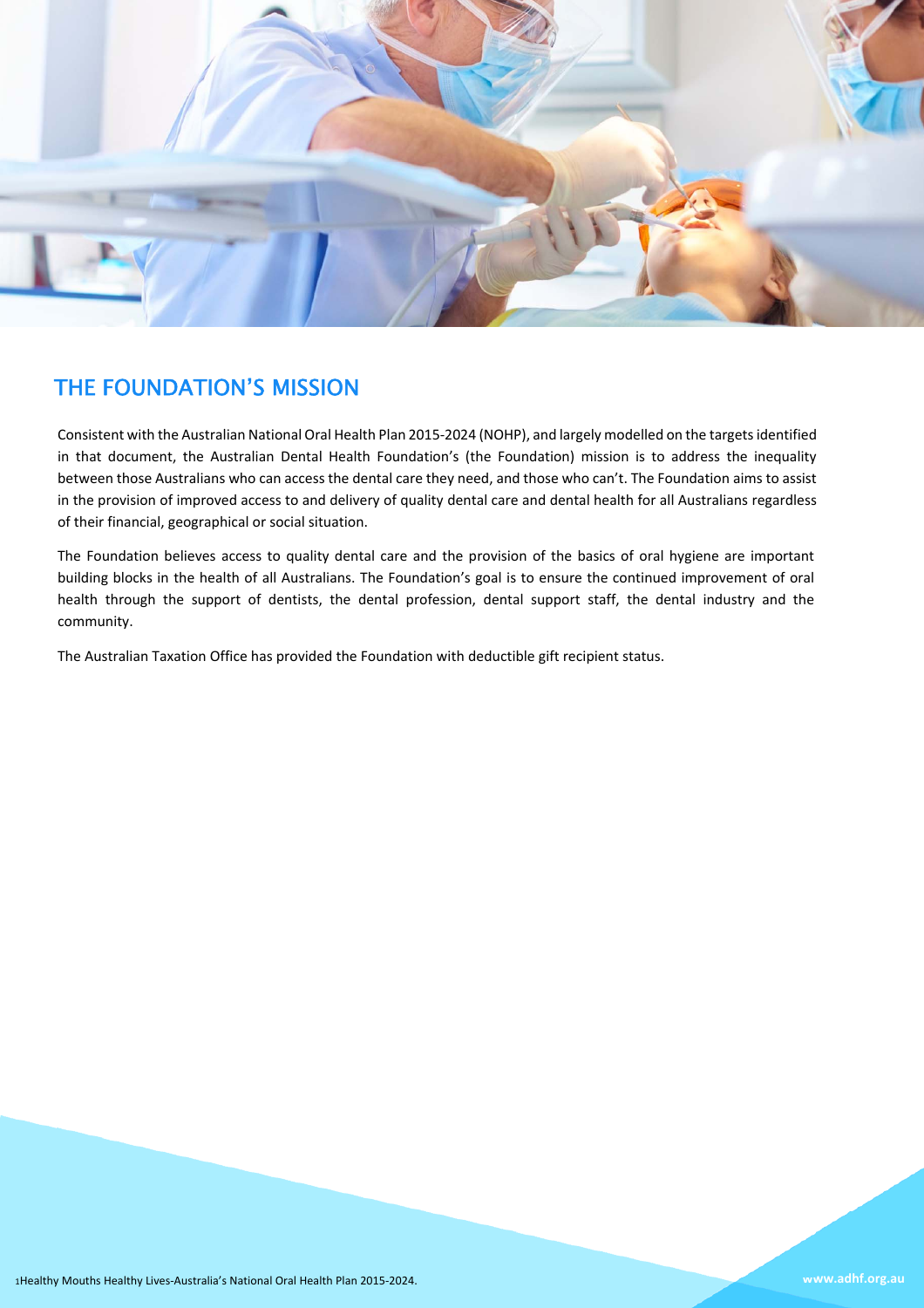

# THE FOUNDATION'S MISSION

Consistent with the Australian National Oral Health Plan 2015‐2024 (NOHP), and largely modelled on the targets identified in that document, the Australian Dental Health Foundation's (the Foundation) mission is to address the inequality between those Australians who can access the dental care they need, and those who can't. The Foundation aims to assist in the provision of improved access to and delivery of quality dental care and dental health for all Australians regardless of their financial, geographical or social situation.

The Foundation believes access to quality dental care and the provision of the basics of oral hygiene are important building blocks in the health of all Australians. The Foundation's goal is to ensure the continued improvement of oral health through the support of dentists, the dental profession, dental support staff, the dental industry and the community.

The Australian Taxation Office has provided the Foundation with deductible gift recipient status.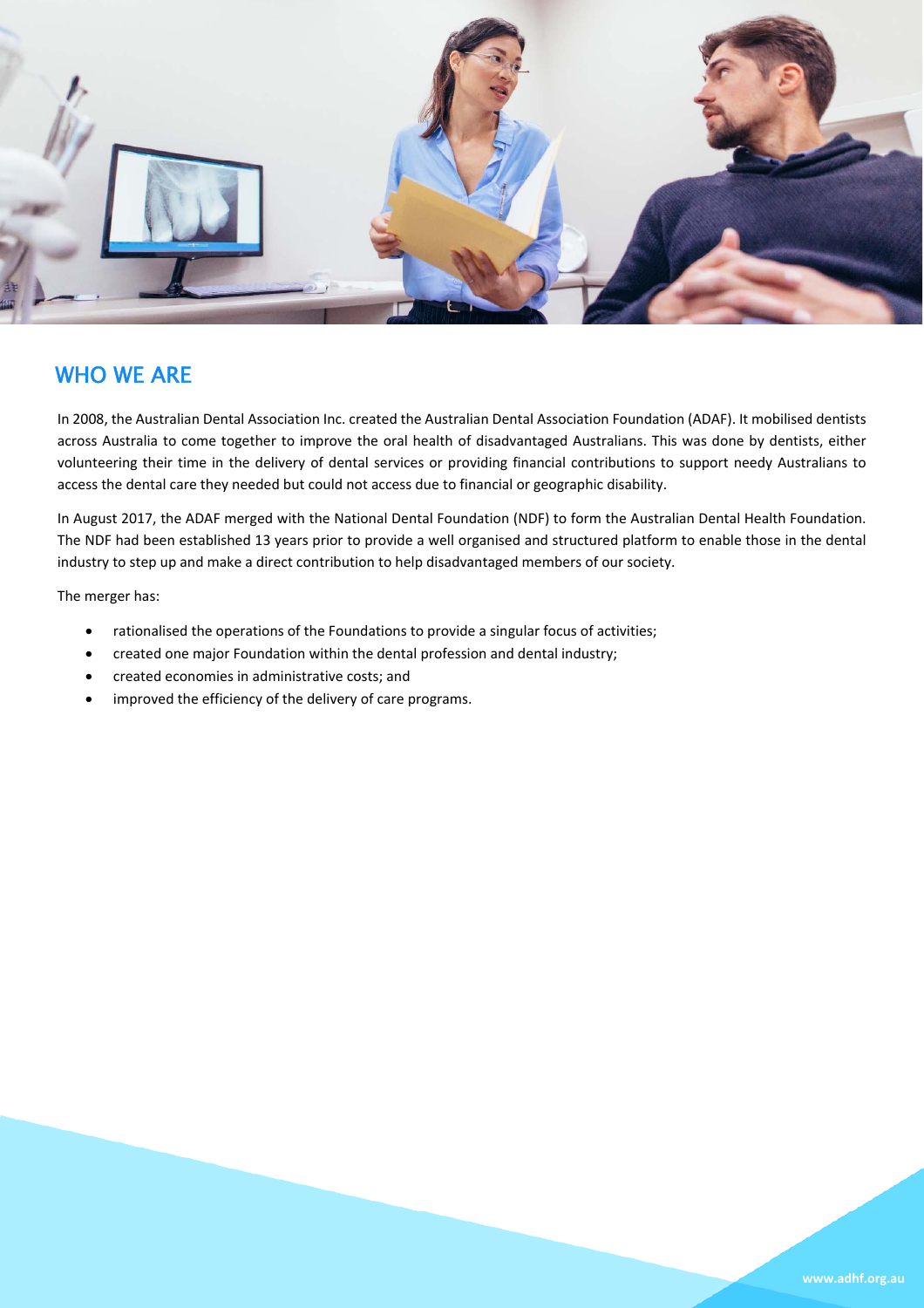

## WHO WE ARE

In 2008, the Australian Dental Association Inc. created the Australian Dental Association Foundation (ADAF). It mobilised dentists across Australia to come together to improve the oral health of disadvantaged Australians. This was done by dentists, either volunteering their time in the delivery of dental services or providing financial contributions to support needy Australians to access the dental care they needed but could not access due to financial or geographic disability.

In August 2017, the ADAF merged with the National Dental Foundation (NDF) to form the Australian Dental Health Foundation. The NDF had been established 13 years prior to provide a well organised and structured platform to enable those in the dental industry to step up and make a direct contribution to help disadvantaged members of our society.

The merger has:

- rationalised the operations of the Foundations to provide a singular focus of activities;
- created one major Foundation within the dental profession and dental industry;
- created economies in administrative costs; and
- improved the efficiency of the delivery of care programs.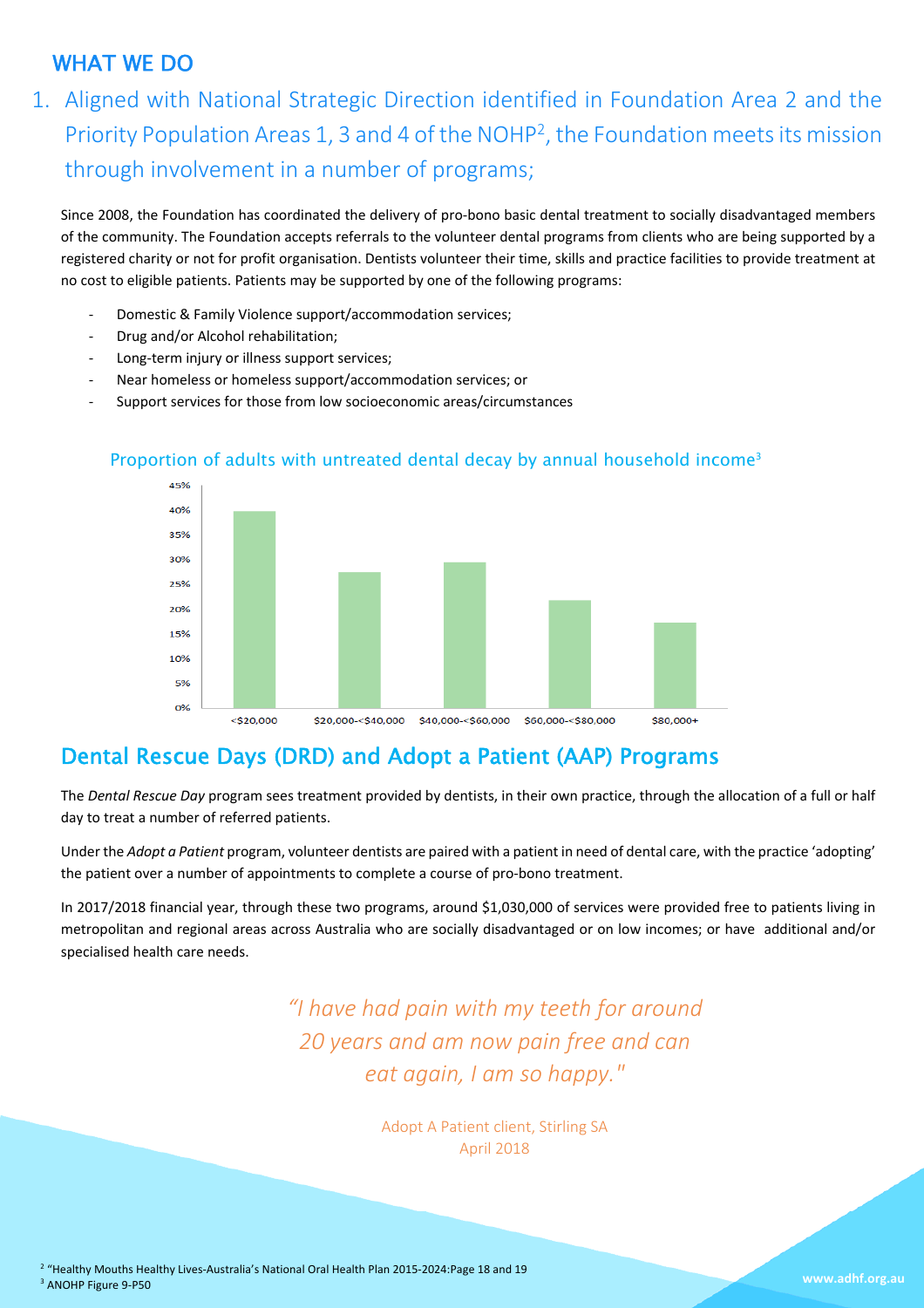# WHAT WE DO

 Priority Population Areas 1, 3 and 4 of the NOHP2, the Foundation meets its mission 1. Aligned with National Strategic Direction identified in Foundation Area 2 and the through involvement in a number of programs;

Since 2008, the Foundation has coordinated the delivery of pro-bono basic dental treatment to socially disadvantaged members of the community. The Foundation accepts referrals to the volunteer dental programs from clients who are being supported by a registered charity or not for profit organisation. Dentists volunteer their time, skills and practice facilities to provide treatment at no cost to eligible patients. Patients may be supported by one of the following programs:

- ‐ Domestic & Family Violence support/accommodation services;
- ‐ Drug and/or Alcohol rehabilitation;
- ‐ Long‐term injury or illness support services;
- ‐ Near homeless or homeless support/accommodation services; or
- ‐ Support services for those from low socioeconomic areas/circumstances



#### Proportion of adults with untreated dental decay by annual household income<sup>3</sup>

# Dental Rescue Days (DRD) and Adopt a Patient (AAP) Programs

The *Dental Rescue Day* program sees treatment provided by dentists, in their own practice, through the allocation of a full or half day to treat a number of referred patients.

Under the *Adopt a Patient* program, volunteer dentists are paired with a patient in need of dental care, with the practice 'adopting' the patient over a number of appointments to complete a course of pro‐bono treatment.

In 2017/2018 financial year, through these two programs, around \$1,030,000 of services were provided free to patients living in metropolitan and regional areas across Australia who are socially disadvantaged or on low incomes; or have additional and/or specialised health care needs.

> *"I have had pain with my teeth for around 20 years and am now pain free and can eat again, I am so happy."*

> > Adopt A Patient client, Stirling SA April 2018

<sup>2</sup> "Healthy Mouths Healthy Lives-Australia's National Oral Health Plan 2015-2024:Page 18 and 19 3 ANOHP Figure 9‐P50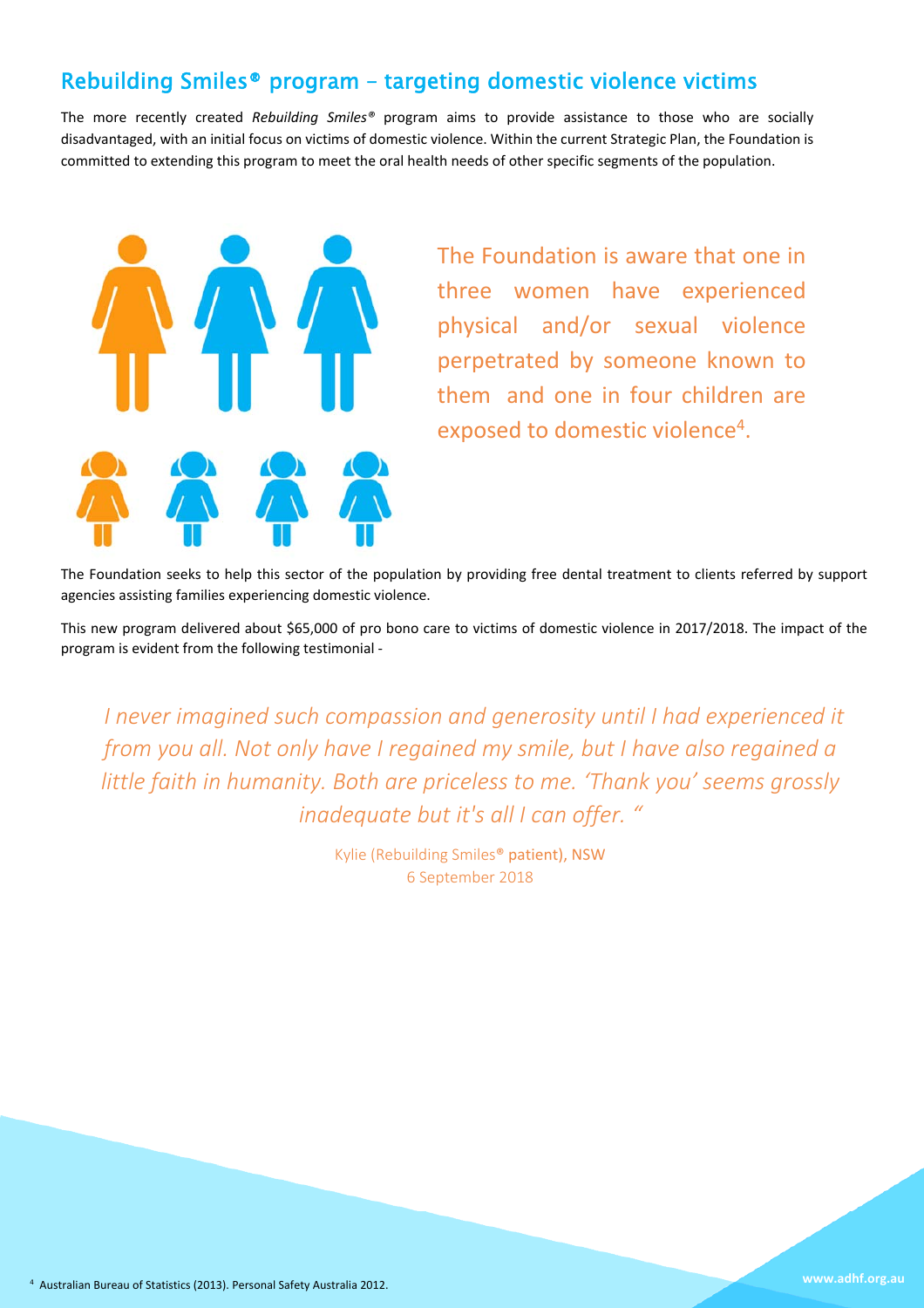# Rebuilding Smiles® program – targeting domestic violence victims

The more recently created *Rebuilding Smiles®* program aims to provide assistance to those who are socially disadvantaged, with an initial focus on victims of domestic violence. Within the current Strategic Plan, the Foundation is committed to extending this program to meet the oral health needs of other specific segments of the population.



The Foundation is aware that one in three women have experienced physical and/or sexual violence perpetrated by someone known to them and one in four children are exposed to domestic violence4.

The Foundation seeks to help this sector of the population by providing free dental treatment to clients referred by support agencies assisting families experiencing domestic violence.

This new program delivered about \$65,000 of pro bono care to victims of domestic violence in 2017/2018. The impact of the program is evident from the following testimonial ‐

*"I never imagined such compassion and generosity until I had experienced it from you all. Not only have I regained my smile, but I have also regained a little faith in humanity. Both are priceless to me. 'Thank you' seems grossly inadequate but it's all I can offer. "* 

> Kylie (Rebuilding Smiles® patient), NSW 6 September 2018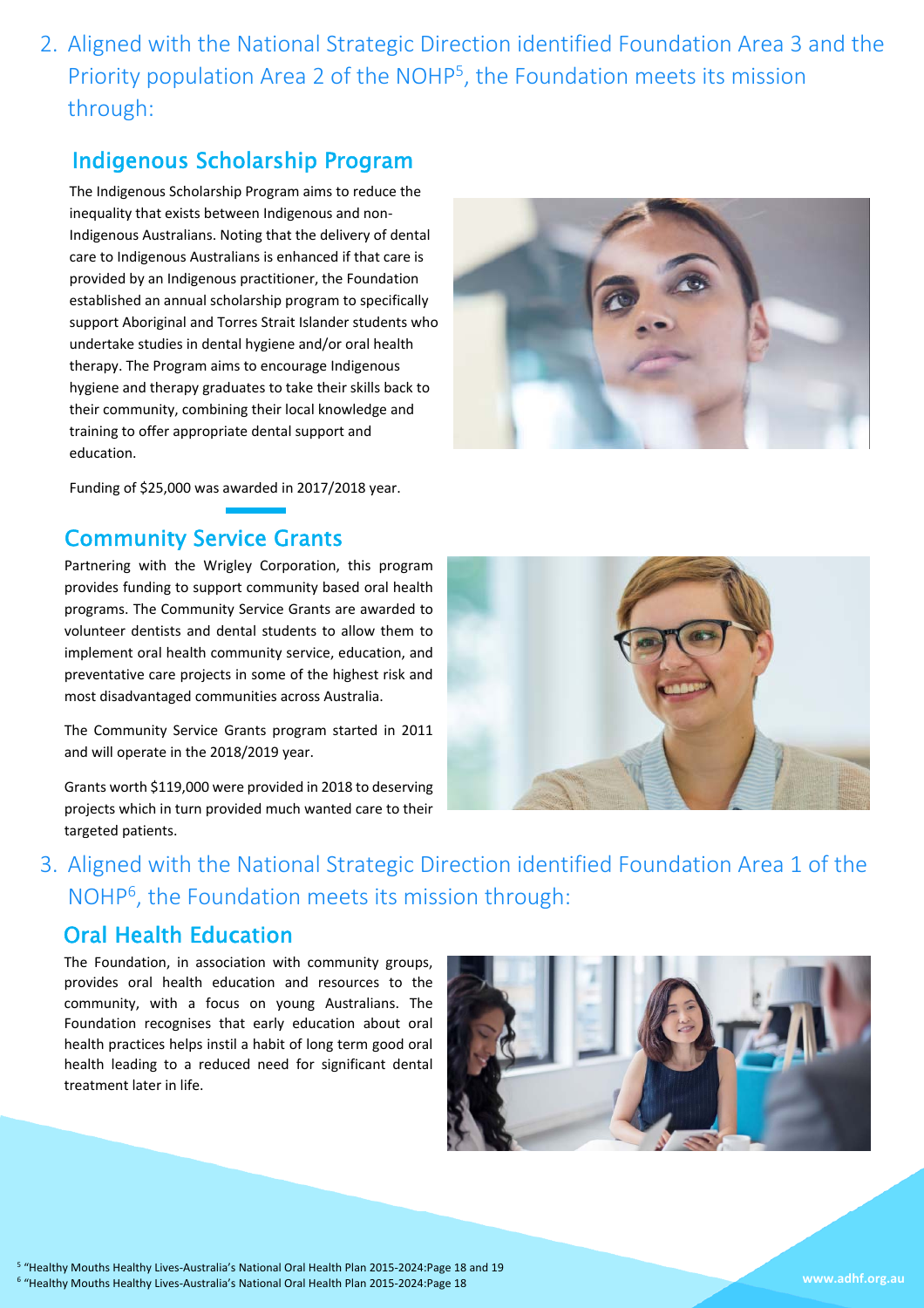2. Aligned with the National Strategic Direction identified Foundation Area 3 and the Priority population Area 2 of the NOHP5, the Foundation meets its mission through:

# Indigenous Scholarship Program

The Indigenous Scholarship Program aims to reduce the inequality that exists between Indigenous and non‐ Indigenous Australians. Noting that the delivery of dental care to Indigenous Australians is enhanced if that care is provided by an Indigenous practitioner, the Foundation established an annual scholarship program to specifically support Aboriginal and Torres Strait Islander students who undertake studies in dental hygiene and/or oral health therapy. The Program aims to encourage Indigenous hygiene and therapy graduates to take their skills back to their community, combining their local knowledge and training to offer appropriate dental support and education.



Funding of \$25,000 was awarded in 2017/2018 year.

# Community Service Grants

Partnering with the Wrigley Corporation, this program provides funding to support community based oral health programs. The Community Service Grants are awarded to volunteer dentists and dental students to allow them to implement oral health community service, education, and preventative care projects in some of the highest risk and most disadvantaged communities across Australia.

The Community Service Grants program started in 2011 and will operate in the 2018/2019 year.

Grants worth \$119,000 were provided in 2018 to deserving projects which in turn provided much wanted care to their targeted patients.



3. Aligned with the National Strategic Direction identified Foundation Area 1 of the NOHP6, the Foundation meets its mission through:

# Oral Health Education

The Foundation, in association with community groups, provides oral health education and resources to the community, with a focus on young Australians. The Foundation recognises that early education about oral health practices helps instil a habit of long term good oral health leading to a reduced need for significant dental treatment later in life.

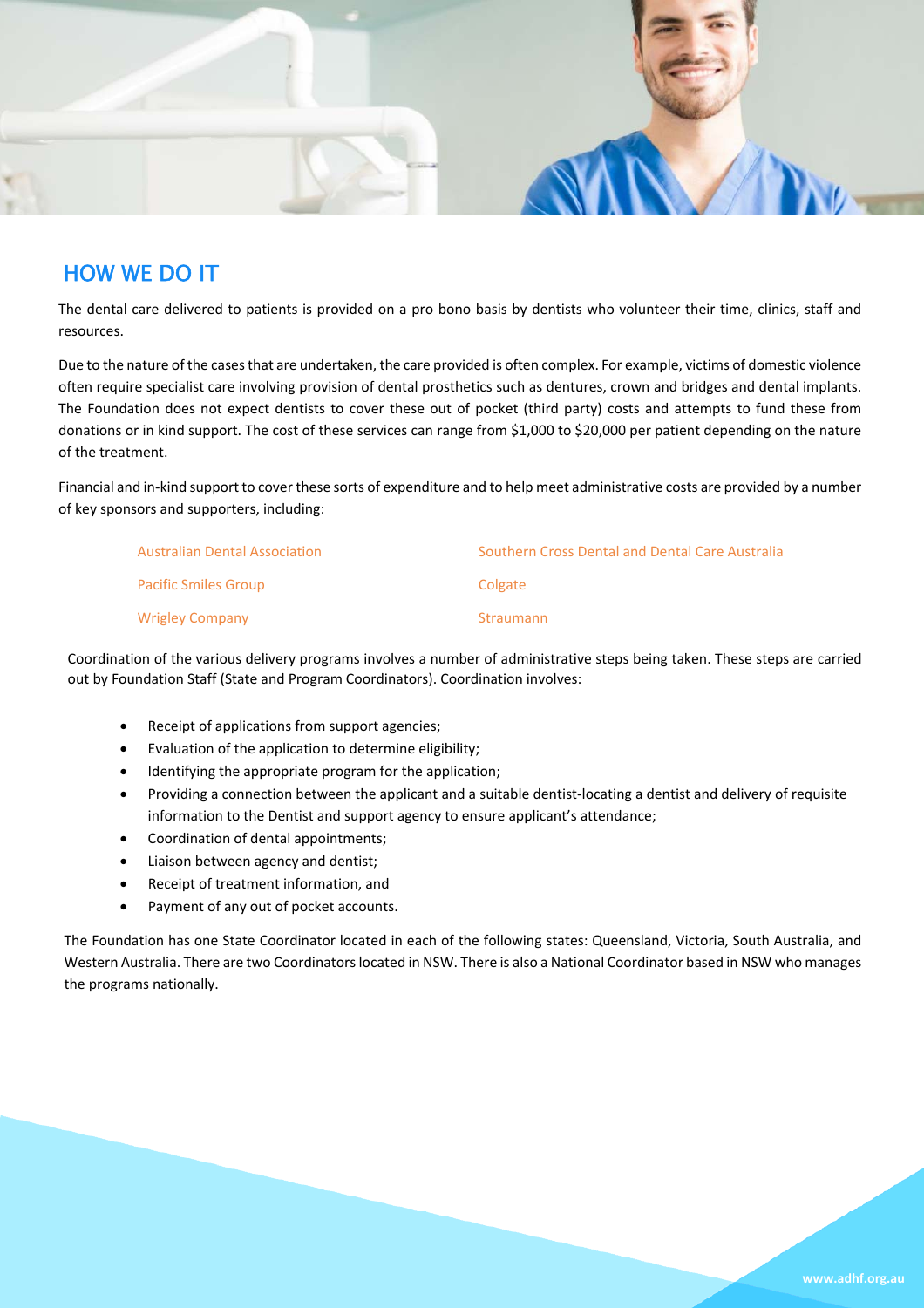

# HOW WE DO IT

The dental care delivered to patients is provided on a pro bono basis by dentists who volunteer their time, clinics, staff and resources.

Due to the nature of the cases that are undertaken, the care provided is often complex. For example, victims of domestic violence often require specialist care involving provision of dental prosthetics such as dentures, crown and bridges and dental implants. The Foundation does not expect dentists to cover these out of pocket (third party) costs and attempts to fund these from donations or in kind support. The cost of these services can range from \$1,000 to \$20,000 per patient depending on the nature of the treatment.

Financial and in-kind support to cover these sorts of expenditure and to help meet administrative costs are provided by a number of key sponsors and supporters, including:

| <b>Australian Dental Association</b> | Southern Cross Dental and Dental Care Australia |
|--------------------------------------|-------------------------------------------------|
| <b>Pacific Smiles Group</b>          | Colgate                                         |
| <b>Wrigley Company</b>               | Straumann                                       |

Coordination of the various delivery programs involves a number of administrative steps being taken. These steps are carried out by Foundation Staff (State and Program Coordinators). Coordination involves:

- Receipt of applications from support agencies;
- Evaluation of the application to determine eligibility;
- Identifying the appropriate program for the application;
- Providing a connection between the applicant and a suitable dentist-locating a dentist and delivery of requisite information to the Dentist and support agency to ensure applicant's attendance;
- Coordination of dental appointments;
- Liaison between agency and dentist;
- Receipt of treatment information, and
- Payment of any out of pocket accounts.

The Foundation has one State Coordinator located in each of the following states: Queensland, Victoria, South Australia, and Western Australia. There are two Coordinators located in NSW. There is also a National Coordinator based in NSW who manages the programs nationally.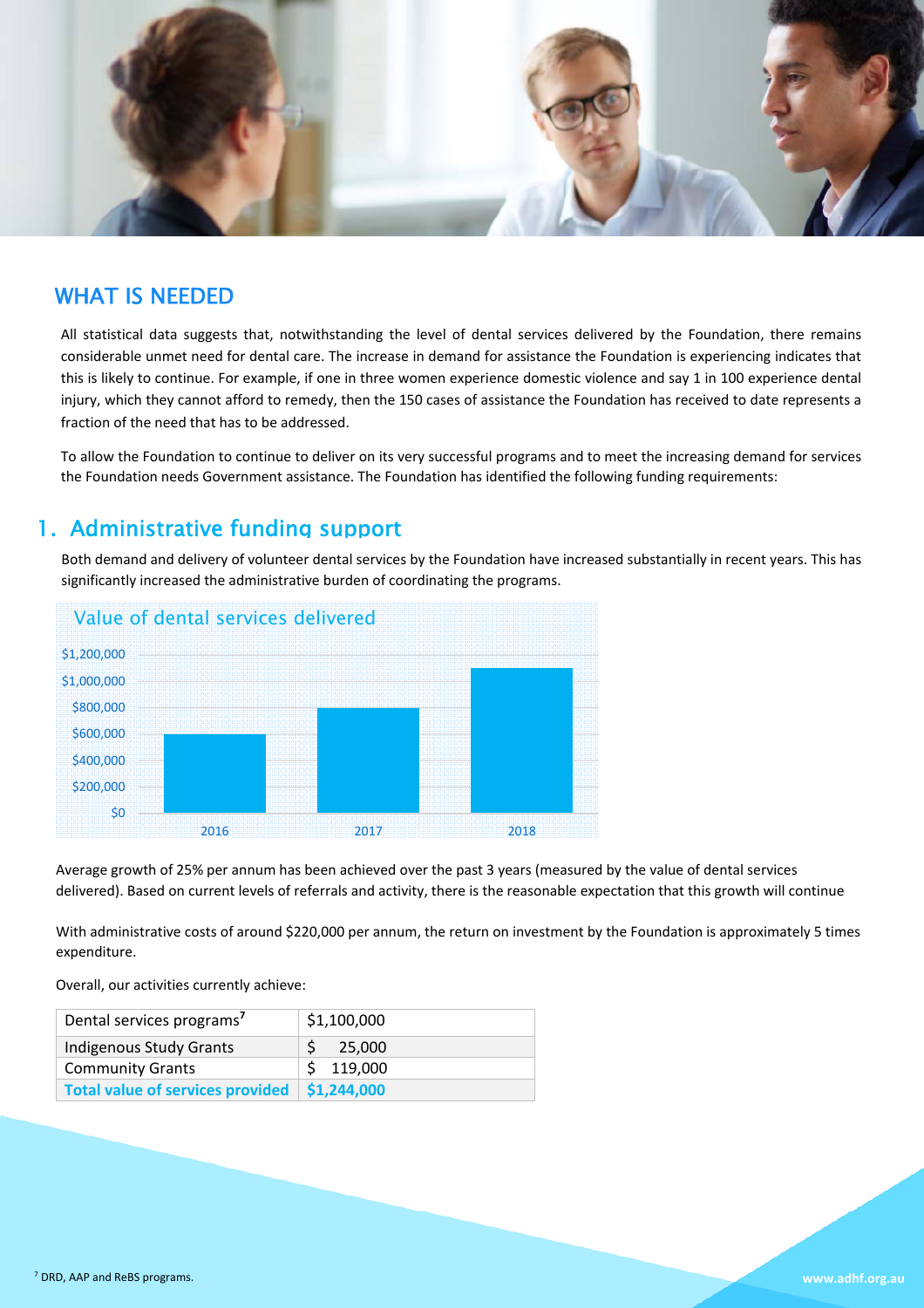

### WHAT IS NEEDED

All statistical data suggests that, notwithstanding the level of dental services delivered by the Foundation, there remains considerable unmet need for dental care. The increase in demand for assistance the Foundation is experiencing indicates that this is likely to continue. For example, if one in three women experience domestic violence and say 1 in 100 experience dental injury, which they cannot afford to remedy, then the 150 cases of assistance the Foundation has received to date represents a fraction of the need that has to be addressed.

To allow the Foundation to continue to deliver on its very successful programs and to meet the increasing demand for services the Foundation needs Government assistance. The Foundation has identified the following funding requirements:

### 1. Administrative funding support

Both demand and delivery of volunteer dental services by the Foundation have increased substantially in recent years. This has significantly increased the administrative burden of coordinating the programs.



Average growth of 25% per annum has been achieved over the past 3 years (measured by the value of dental services delivered). Based on current levels of referrals and activity, there is the reasonable expectation that this growth will continue

With administrative costs of around \$220,000 per annum, the return on investment by the Foundation is approximately 5 times expenditure.

Overall, our activities currently achieve:

| Dental services programs <sup>7</sup> | \$1,100,000 |
|---------------------------------------|-------------|
| <b>Indigenous Study Grants</b>        | 25.000      |
| <b>Community Grants</b>               | \$119,000   |
| Total value of services provided      | \$1,244,000 |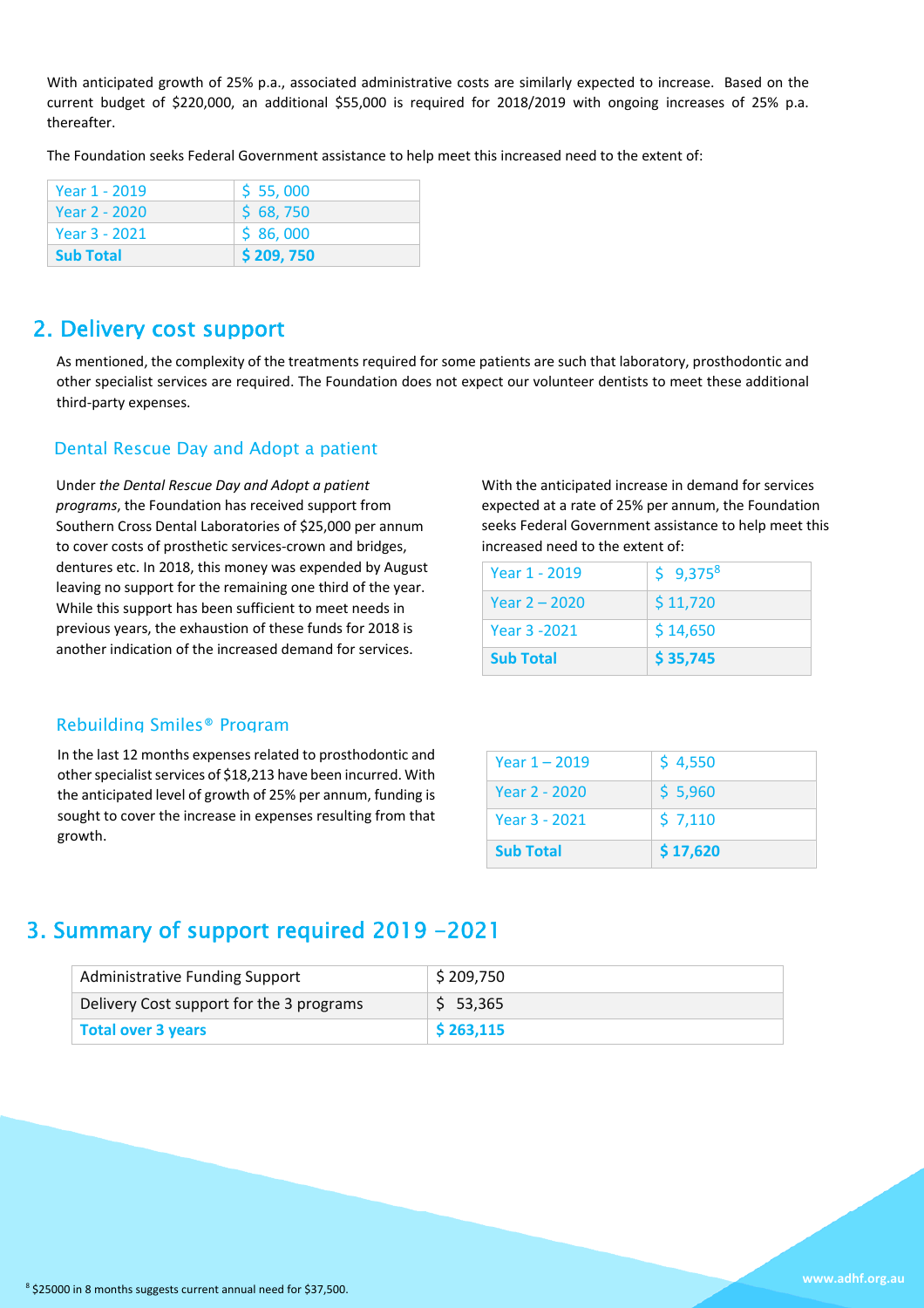With anticipated growth of 25% p.a., associated administrative costs are similarly expected to increase. Based on the current budget of \$220,000, an additional \$55,000 is required for 2018/2019 with ongoing increases of 25% p.a. thereafter.

The Foundation seeks Federal Government assistance to help meet this increased need to the extent of:

| Year 1 - 2019    | \$55,000  |
|------------------|-----------|
| Year 2 - 2020    | \$68,750  |
| Year 3 - 2021    | \$86,000  |
| <b>Sub Total</b> | \$209,750 |

## 2. Delivery cost support

As mentioned, the complexity of the treatments required for some patients are such that laboratory, prosthodontic and other specialist services are required. The Foundation does not expect our volunteer dentists to meet these additional third‐party expenses.

#### Dental Rescue Day and Adopt a patient

Under *the Dental Rescue Day and Adopt a patient programs*, the Foundation has received support from Southern Cross Dental Laboratories of \$25,000 per annum to cover costs of prosthetic services‐crown and bridges, dentures etc. In 2018, this money was expended by August leaving no support for the remaining one third of the year. While this support has been sufficient to meet needs in previous years, the exhaustion of these funds for 2018 is another indication of the increased demand for services.

With the anticipated increase in demand for services expected at a rate of 25% per annum, the Foundation seeks Federal Government assistance to help meet this increased need to the extent of:

| <b>Sub Total</b> | \$35,745 |
|------------------|----------|
| Year 3 -2021     | \$14,650 |
| Year 2 – 2020    | \$11,720 |
| Year 1 - 2019    | \$9,3758 |

#### Rebuilding Smiles® Program

In the last 12 months expenses related to prosthodontic and other specialist services of \$18,213 have been incurred. With the anticipated level of growth of 25% per annum, funding is sought to cover the increase in expenses resulting from that growth.

| <b>Sub Total</b> | \$17,620 |
|------------------|----------|
| Year 3 - 2021    | \$7,110  |
| Year 2 - 2020    | \$5,960  |
| Year $1 - 2019$  | \$4,550  |

# 3. Summary of support required 2019 -2021

| Administrative Funding Support           | \$209,750 |
|------------------------------------------|-----------|
| Delivery Cost support for the 3 programs | \$53,365  |
| Total over 3 years                       | \$263,115 |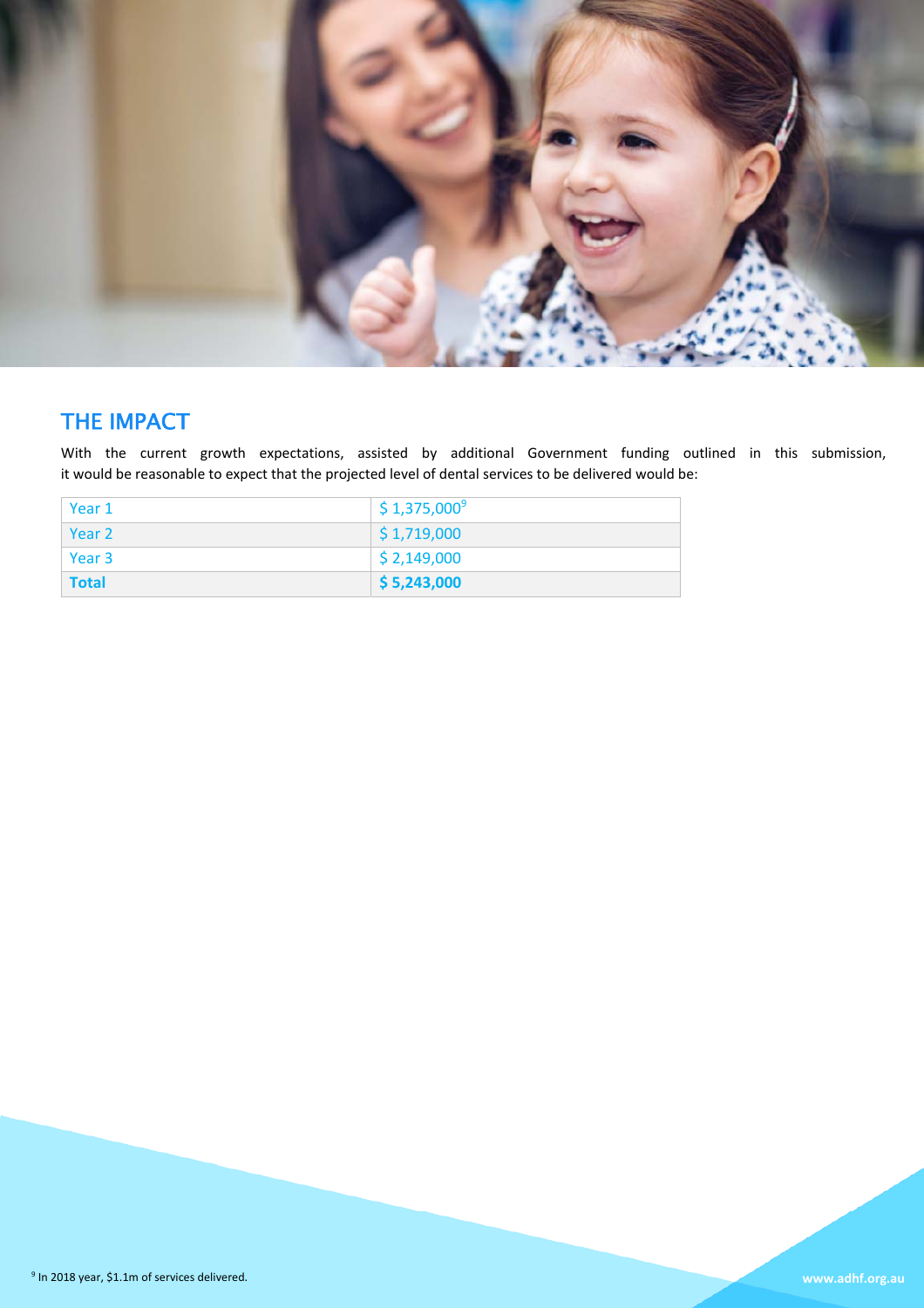

# THE IMPACT

With the current growth expectations, assisted by additional Government funding outlined in this submission, it would be reasonable to expect that the projected level of dental services to be delivered would be:

| Year 1       | $\frac{1}{2}$ \$ 1,375,000 <sup>9</sup> |
|--------------|-----------------------------------------|
| Year 2       | $\frac{1}{2}$ \$ 1,719,000              |
| Year 3       | $\frac{1}{2}$ \$ 2,149,000              |
| <b>Total</b> | $\frac{1}{5}$ 5,243,000                 |